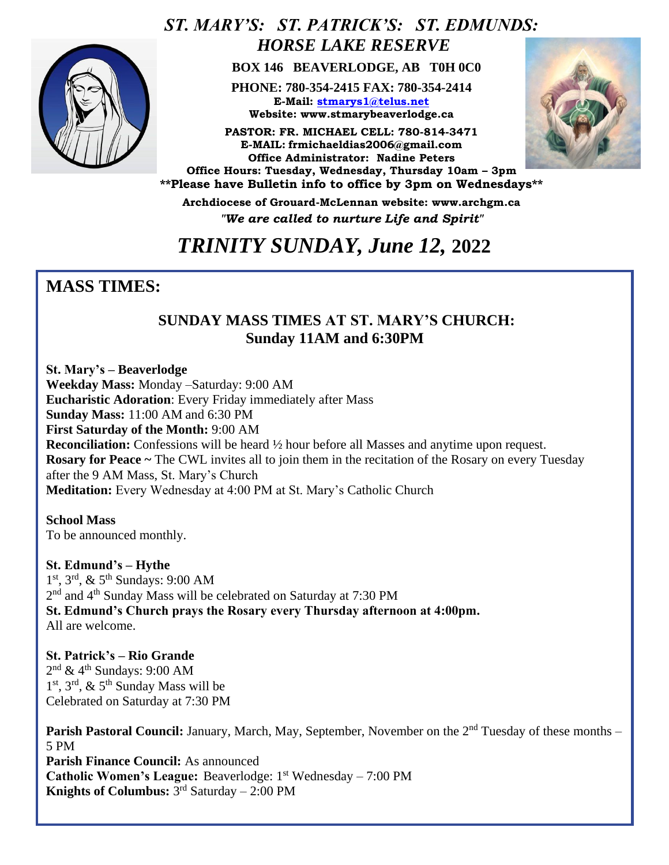

## *ST. MARY'S: ST. PATRICK'S: ST. EDMUNDS: HORSE LAKE RESERVE*

 **BOX 146 BEAVERLODGE, AB T0H 0C0**

**PHONE: 780-354-2415 FAX: 780-354-2414 E-Mail: [stmarys1@telus.net](mailto:stmarys1@telus.net) Website: www.stmarybeaverlodge.ca**

**PASTOR: FR. MICHAEL CELL: 780-814-3471 E-MAIL: frmichaeldias2006@gmail.com Office Administrator: Nadine Peters Office Hours: Tuesday, Wednesday, Thursday 10am – 3pm \*\*Please have Bulletin info to office by 3pm on Wednesdays\*\*** 



*Love one* 

**Archdiocese of Grouard-McLennan website: www.archgm.ca** *"We are called to nurture Life and Spirit"*

## *TRINITY SUNDAY, June 12,* **2022**

### **MASS TIMES:**

#### **SUNDAY MASS TIMES AT ST. MARY'S CHURCH: Sunday 11AM and 6:30PM**

**St. Mary's – Beaverlodge Weekday Mass:** Monday –Saturday: 9:00 AM **Eucharistic Adoration**: Every Friday immediately after Mass **Sunday Mass:** 11:00 AM and 6:30 PM **First Saturday of the Month:** 9:00 AM **Reconciliation:** Confessions will be heard  $\frac{1}{2}$  hour before all Masses and anytime upon request. **Rosary for Peace ~** The CWL invites all to join them in the recitation of the Rosary on every Tuesday after the 9 AM Mass, St. Mary's Church **Meditation:** Every Wednesday at 4:00 PM at St. Mary's Catholic Church

**School Mass** To be announced monthly.

**St. Edmund's – Hythe**  1 st, 3rd, & 5th Sundays: 9:00 AM 2<sup>nd</sup> and 4<sup>th</sup> Sunday Mass will be celebrated on Saturday at 7:30 PM **St. Edmund's Church prays the Rosary every Thursday afternoon at 4:00pm.**  All are welcome.

**St. Patrick's – Rio Grande**   $2<sup>nd</sup>$  & 4<sup>th</sup> Sundays: 9:00 AM 1<sup>st</sup>, 3<sup>rd</sup>, & 5<sup>th</sup> Sunday Mass will be Celebrated on Saturday at 7:30 PM

**Parish Pastoral Council:** January, March, May, September, November on the 2<sup>nd</sup> Tuesday of these months – 5 PM **Parish Finance Council:** As announced **Catholic Women's League:** Beaverlodge: 1<sup>st</sup> Wednesday – 7:00 PM **Knights of Columbus:** 3 rd Saturday – 2:00 PM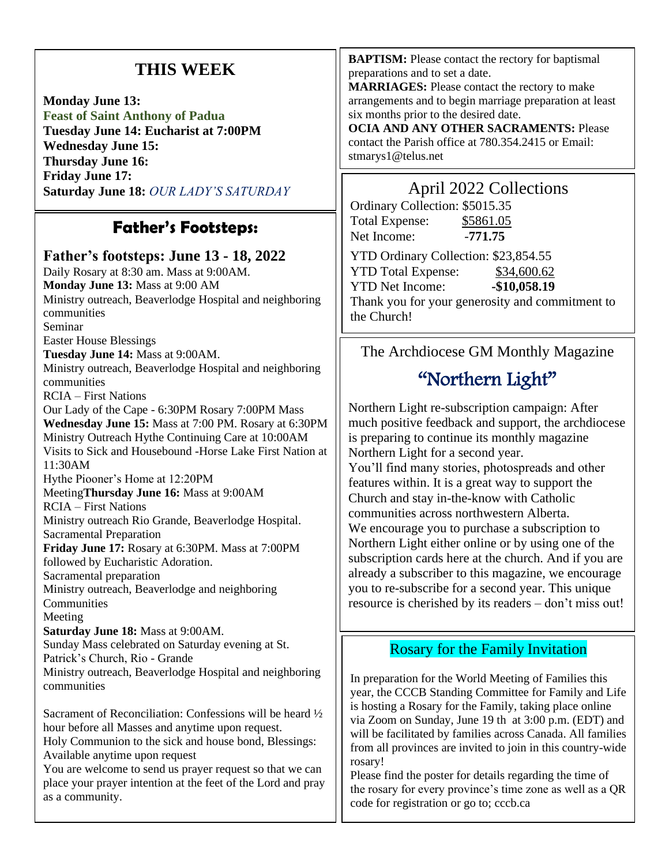## **THIS WEEK**

**Monday June 13: Feast of Saint Anthony of Padua Tuesday June 14: Eucharist at 7:00PM Wednesday June 15: Thursday June 16: Friday June 17: Saturday June 18:** *OUR LADY'S SATURDAY*

## **Father's Footsteps:**

#### **Father's footsteps: June 13 - 18, 2022**

Daily Rosary at 8:30 am. Mass at 9:00AM. **Monday June 13:** Mass at 9:00 AM Ministry outreach, Beaverlodge Hospital and neighboring communities Seminar Easter House Blessings **Tuesday June 14:** Mass at 9:00AM. Ministry outreach, Beaverlodge Hospital and neighboring communities RCIA – First Nations Our Lady of the Cape - 6:30PM Rosary 7:00PM Mass **Wednesday June 15:** Mass at 7:00 PM. Rosary at 6:30PM Ministry Outreach Hythe Continuing Care at 10:00AM Visits to Sick and Housebound -Horse Lake First Nation at 11:30AM Hythe Piooner's Home at 12:20PM Meeting**Thursday June 16:** Mass at 9:00AM RCIA – First Nations Ministry outreach Rio Grande, Beaverlodge Hospital. Sacramental Preparation **Friday June 17:** Rosary at 6:30PM. Mass at 7:00PM followed by Eucharistic Adoration. Sacramental preparation Ministry outreach, Beaverlodge and neighboring **Communities** Meeting **Saturday June 18:** Mass at 9:00AM. Sunday Mass celebrated on Saturday evening at St. Patrick's Church, Rio - Grande Ministry outreach, Beaverlodge Hospital and neighboring communities Sacrament of Reconciliation: Confessions will be heard ½ hour before all Masses and anytime upon request. Holy Communion to the sick and house bond, Blessings:

Available anytime upon request

You are welcome to send us prayer request so that we can place your prayer intention at the feet of the Lord and pray as a community.

**BAPTISM:** Please contact the rectory for baptismal preparations and to set a date.

**MARRIAGES:** Please contact the rectory to make arrangements and to begin marriage preparation at least six months prior to the desired date.

**OCIA AND ANY OTHER SACRAMENTS:** Please contact the Parish office at 780.354.2415 or Email: stmarys1@telus.net

### April 2022 Collections

| Ordinary Collection: \$5015.35                  |               |
|-------------------------------------------------|---------------|
| <b>Total Expense:</b>                           | \$5861.05     |
| Net Income:                                     | $-771.75$     |
| YTD Ordinary Collection: \$23,854.55            |               |
| <b>YTD Total Expense:</b>                       | \$34,600.62   |
| <b>YTD</b> Net Income:                          | $-$10,058.19$ |
| Thank you for your generosity and commitment to |               |
| the Church!                                     |               |

#### The Archdiocese GM Monthly Magazine

# "Northern Light"

Northern Light re-subscription campaign: After much positive feedback and support, the archdiocese is preparing to continue its monthly magazine Northern Light for a second year.

You'll find many stories, photospreads and other features within. It is a great way to support the Church and stay in-the-know with Catholic communities across northwestern Alberta. We encourage you to purchase a subscription to Northern Light either online or by using one of the subscription cards here at the church. And if you are already a subscriber to this magazine, we encourage you to re-subscribe for a second year. This unique resource is cherished by its readers – don't miss out!

#### Rosary for the Family Invitation

In preparation for the World Meeting of Families this year, the CCCB Standing Committee for Family and Life is hosting a Rosary for the Family, taking place online via Zoom on Sunday, June 19 th at 3:00 p.m. (EDT) and will be facilitated by families across Canada. All families from all provinces are invited to join in this country-wide rosary!

Please find the poster for details regarding the time of the rosary for every province's time zone as well as a QR code for registration or go to; cccb.ca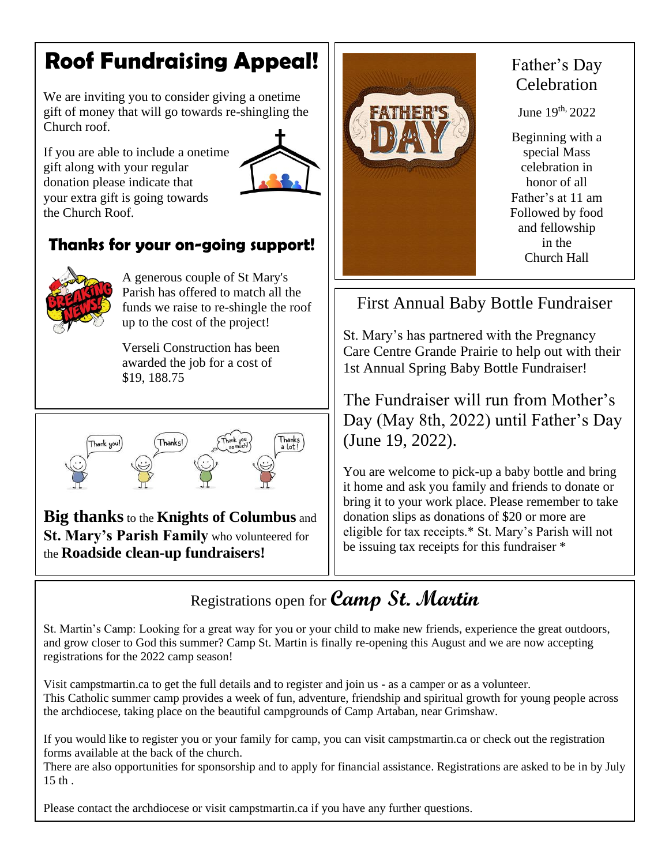# **Roof Fundraising Appeal!**

We are inviting you to consider giving a onetime gift of money that will go towards re-shingling the Church roof.

If you are able to include a onetime gift along with your regular donation please indicate that your extra gift is going towards the Church Roof.



## **Thanks for your on-going support!**



A generous couple of St Mary's Parish has offered to match all the funds we raise to re-shingle the roof up to the cost of the project!

Verseli Construction has been awarded the job for a cost of \$19, 188.75



**Big thanks**to the **Knights of Columbus** and **St. Mary's Parish Family** who volunteered for the **Roadside clean-up fundraisers!**



## Father's Day Celebration

June 19th, 2022

Beginning with a special Mass celebration in honor of all Father's at 11 am Followed by food and fellowship in the Church Hall

First Annual Baby Bottle Fundraiser

St. Mary's has partnered with the Pregnancy Care Centre Grande Prairie to help out with their 1st Annual Spring Baby Bottle Fundraiser!

The Fundraiser will run from Mother's Day (May 8th, 2022) until Father's Day (June 19, 2022).

You are welcome to pick-up a baby bottle and bring it home and ask you family and friends to donate or bring it to your work place. Please remember to take donation slips as donations of \$20 or more are eligible for tax receipts.\* St. Mary's Parish will not be issuing tax receipts for this fundraiser \*

# Registrations open for **Camp St. Martin**

St. Martin's Camp: Looking for a great way for you or your child to make new friends, experience the great outdoors, and grow closer to God this summer? Camp St. Martin is finally re-opening this August and we are now accepting registrations for the 2022 camp season!

Visit campstmartin.ca to get the full details and to register and join us - as a camper or as a volunteer. This Catholic summer camp provides a week of fun, adventure, friendship and spiritual growth for young people across the archdiocese, taking place on the beautiful campgrounds of Camp Artaban, near Grimshaw.

If you would like to register you or your family for camp, you can visit campstmartin.ca or check out the registration forms available at the back of the church.

There are also opportunities for sponsorship and to apply for financial assistance. Registrations are asked to be in by July 15 th .

Please contact the archdiocese or visit campstmartin.ca if you have any further questions.